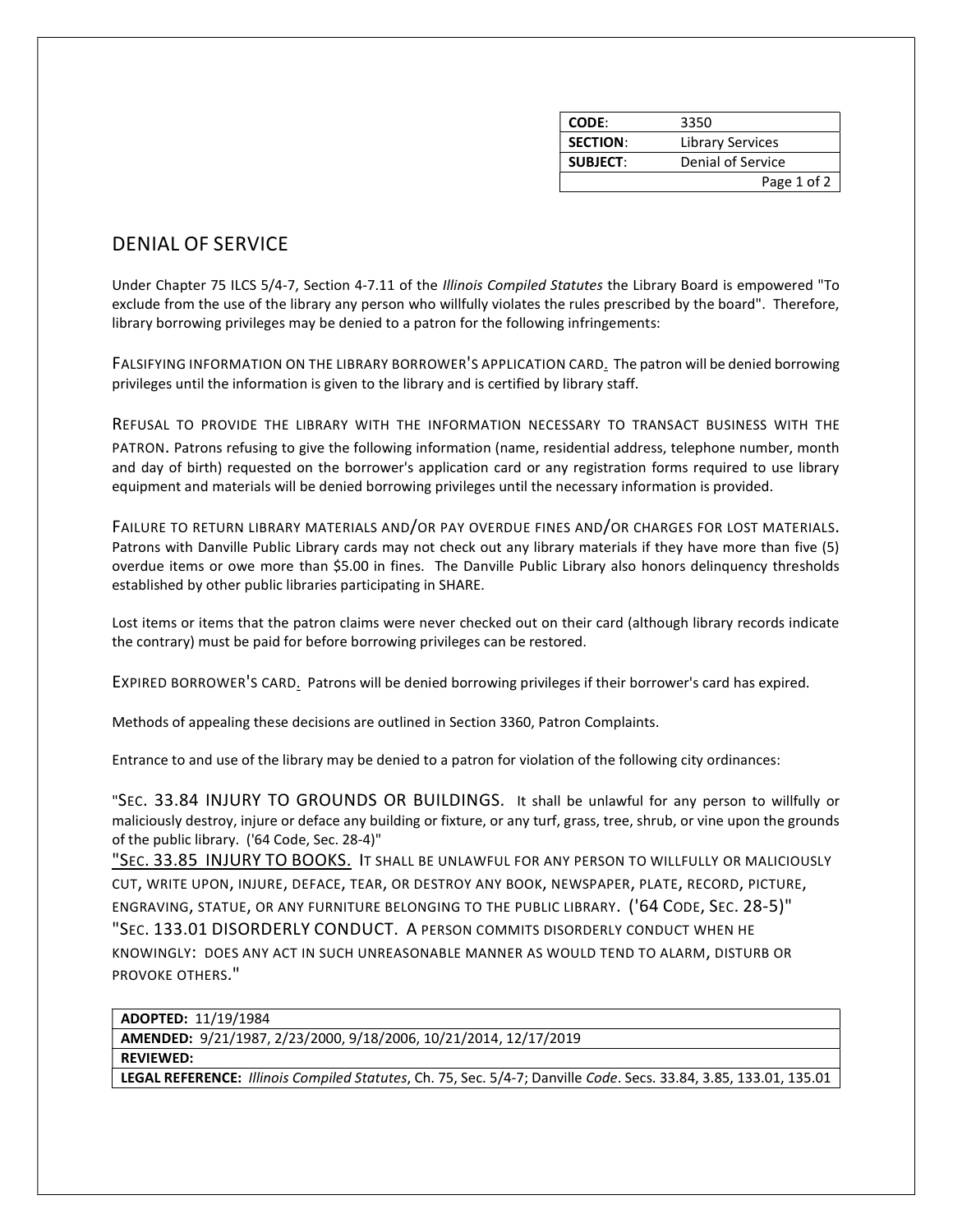| CODE:           | 3350                    |
|-----------------|-------------------------|
| <b>SECTION:</b> | <b>Library Services</b> |
| <b>SUBJECT:</b> | Denial of Service       |
|                 | Page 1 of 2             |

## DENIAL OF SERVICE

Under Chapter 75 ILCS 5/4-7, Section 4-7.11 of the Illinois Compiled Statutes the Library Board is empowered "To exclude from the use of the library any person who willfully violates the rules prescribed by the board". Therefore, library borrowing privileges may be denied to a patron for the following infringements:

FALSIFYING INFORMATION ON THE LIBRARY BORROWER'S APPLICATION CARD. The patron will be denied borrowing privileges until the information is given to the library and is certified by library staff.

REFUSAL TO PROVIDE THE LIBRARY WITH THE INFORMATION NECESSARY TO TRANSACT BUSINESS WITH THE PATRON. Patrons refusing to give the following information (name, residential address, telephone number, month and day of birth) requested on the borrower's application card or any registration forms required to use library equipment and materials will be denied borrowing privileges until the necessary information is provided.

FAILURE TO RETURN LIBRARY MATERIALS AND/OR PAY OVERDUE FINES AND/OR CHARGES FOR LOST MATERIALS. Patrons with Danville Public Library cards may not check out any library materials if they have more than five (5) overdue items or owe more than \$5.00 in fines. The Danville Public Library also honors delinquency thresholds established by other public libraries participating in SHARE.

Lost items or items that the patron claims were never checked out on their card (although library records indicate the contrary) must be paid for before borrowing privileges can be restored.

EXPIRED BORROWER'S CARD. Patrons will be denied borrowing privileges if their borrower's card has expired.

Methods of appealing these decisions are outlined in Section 3360, Patron Complaints.

Entrance to and use of the library may be denied to a patron for violation of the following city ordinances:

"SEC. 33.84 INJURY TO GROUNDS OR BUILDINGS. It shall be unlawful for any person to willfully or maliciously destroy, injure or deface any building or fixture, or any turf, grass, tree, shrub, or vine upon the grounds of the public library. ('64 Code, Sec. 28-4)"

"SEC. 33.85 INJURY TO BOOKS. IT SHALL BE UNLAWFUL FOR ANY PERSON TO WILLFULLY OR MALICIOUSLY CUT, WRITE UPON, INJURE, DEFACE, TEAR, OR DESTROY ANY BOOK, NEWSPAPER, PLATE, RECORD, PICTURE, ENGRAVING, STATUE, OR ANY FURNITURE BELONGING TO THE PUBLIC LIBRARY. ('64 CODE, SEC. 28-5)" "SEC. 133.01 DISORDERLY CONDUCT. A PERSON COMMITS DISORDERLY CONDUCT WHEN HE KNOWINGLY: DOES ANY ACT IN SUCH UNREASONABLE MANNER AS WOULD TEND TO ALARM, DISTURB OR PROVOKE OTHERS."

ADOPTED: 11/19/1984

AMENDED: 9/21/1987, 2/23/2000, 9/18/2006, 10/21/2014, 12/17/2019

REVIEWED:

LEGAL REFERENCE: Illinois Compiled Statutes, Ch. 75, Sec. 5/4-7; Danville Code. Secs. 33.84, 3.85, 133.01, 135.01